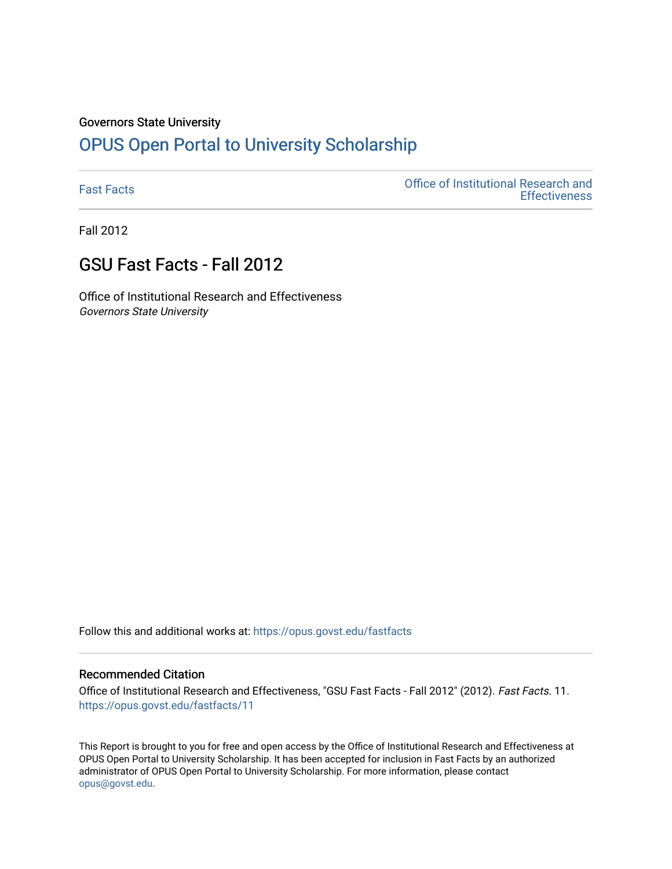# Governors State University

# [OPUS Open Portal to University Scholarship](https://opus.govst.edu/)

[Fast Facts](https://opus.govst.edu/fastfacts) [Office of Institutional Research and](https://opus.govst.edu/ir)  **Effectiveness** 

Fall 2012

# GSU Fast Facts - Fall 2012

Office of Institutional Research and Effectiveness Governors State University

Follow this and additional works at: [https://opus.govst.edu/fastfacts](https://opus.govst.edu/fastfacts?utm_source=opus.govst.edu%2Ffastfacts%2F11&utm_medium=PDF&utm_campaign=PDFCoverPages)

## Recommended Citation

Office of Institutional Research and Effectiveness, "GSU Fast Facts - Fall 2012" (2012). Fast Facts. 11. [https://opus.govst.edu/fastfacts/11](https://opus.govst.edu/fastfacts/11?utm_source=opus.govst.edu%2Ffastfacts%2F11&utm_medium=PDF&utm_campaign=PDFCoverPages) 

This Report is brought to you for free and open access by the Office of Institutional Research and Effectiveness at OPUS Open Portal to University Scholarship. It has been accepted for inclusion in Fast Facts by an authorized administrator of OPUS Open Portal to University Scholarship. For more information, please contact [opus@govst.edu](mailto:opus@govst.edu).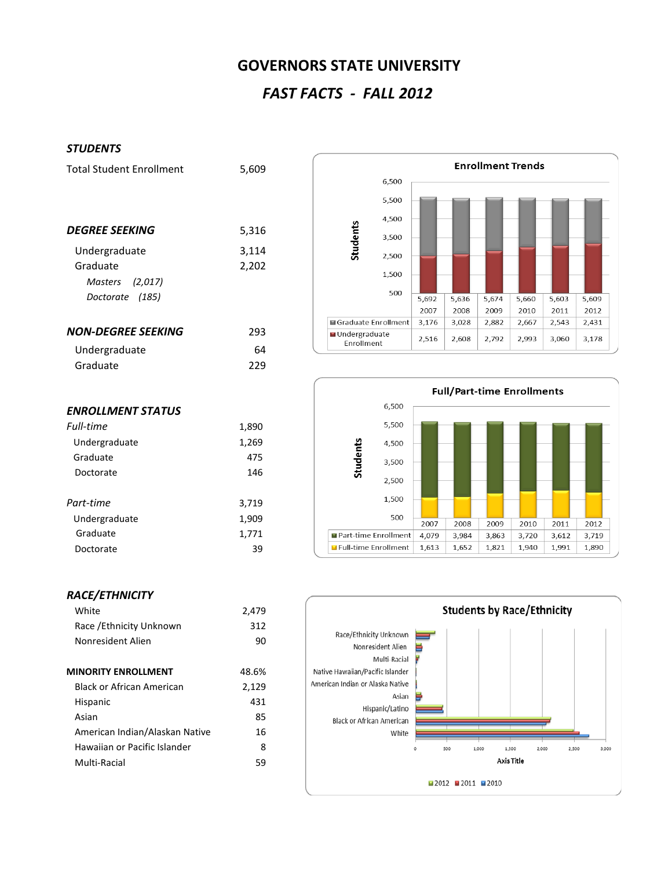# **GOVERNORS STATE UNIVERSITY**

# *FAST FACTS - FALL 2012*

### *STUDENTS*

| <b>Total Student Enrollment</b> | 5,609 |
|---------------------------------|-------|
|                                 |       |
| DEGREE SEEKING                  | 5,316 |
| Undergraduate                   | 3,114 |
| Graduate                        | 2,202 |
| Masters (2,017)                 |       |
| Doctorate (185)                 |       |
| NON-DEGREE SEEKING              | 293   |
| Undergraduate                   | 64    |
| Graduate                        | 229   |
|                                 |       |
|                                 |       |

*Full-time* 1,890 Undergraduate 1,269 Graduate 475 Doctorate 146

*Part-time* 3,719 Undergraduate 1,909 Graduate 1,771 Doctorate 39

|  |                               | <b>Enrollment Trends</b> |       |       |       |       |       |       |
|--|-------------------------------|--------------------------|-------|-------|-------|-------|-------|-------|
|  |                               | 6,500                    |       |       |       |       |       |       |
|  |                               | 5,500                    |       |       |       |       |       |       |
|  |                               | 4,500                    |       |       |       |       |       |       |
|  | Students                      | 3,500                    |       |       |       |       |       |       |
|  |                               | 2,500                    |       |       |       |       |       |       |
|  |                               | 1,500                    |       |       |       |       |       |       |
|  |                               | 500                      |       |       |       |       |       |       |
|  |                               |                          | 5,692 | 5,636 | 5,674 | 5,660 | 5,603 | 5,609 |
|  |                               |                          | 2007  | 2008  | 2009  | 2010  | 2011  | 2012  |
|  | ■ Graduate Enrollment         |                          | 3,176 | 3,028 | 2,882 | 2,667 | 2,543 | 2,431 |
|  | ■ Undergraduate<br>Enrollment |                          | 2,516 | 2,608 | 2,792 | 2,993 | 3,060 | 3,178 |



## *RACE/ETHNICITY*

*ENROLLMENT STATUS*

| White                            | 2,479 |
|----------------------------------|-------|
| Race / Ethnicity Unknown         | 312   |
| Nonresident Alien                | 90    |
| <b>MINORITY ENROLLMENT</b>       | 48.6% |
|                                  |       |
| <b>Black or African American</b> | 2,129 |
| Hispanic                         | 431   |
| Asian                            | 85    |
| American Indian/Alaskan Native   | 16    |
| Hawaiian or Pacific Islander     | 8     |
| Multi-Racial                     | 59    |
|                                  |       |